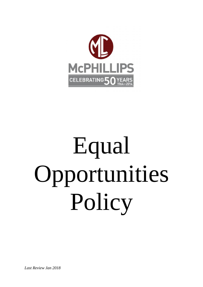

# Equal Opportunities Policy

*Last Review Jan 2018*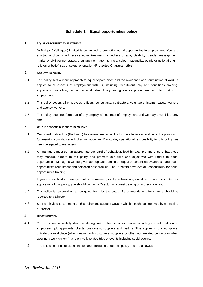# **Schedule 1 Equal opportunities policy**

### **1. EQUAL OPPORTUNITIES STATEMENT**

McPhillips (Wellington) Limited is committed to promoting equal opportunities in employment. You and any job applicants will receive equal treatment regardless of age, disability, gender reassignment, marital or civil partner status, pregnancy or maternity, race, colour, nationality, ethnic or national origin, religion or belief, sex or sexual orientation (**Protected Characteristics**).

# **2. ABOUT THIS POLICY**

- 2.1 This policy sets out our approach to equal opportunities and the avoidance of discrimination at work. It applies to all aspects of employment with us, including recruitment, pay and conditions, training, appraisals, promotion, conduct at work, disciplinary and grievance procedures, and termination of employment.
- 2.2 This policy covers all employees, officers, consultants, contractors, volunteers, interns, casual workers and agency workers.
- 2.3 This policy does not form part of any employee's contract of employment and we may amend it at any time.

# **3. WHO IS RESPONSIBLE FOR THIS POLICY?**

- 3.1 Our board of directors (the board) has overall responsibility for the effective operation of this policy and for ensuring compliance with discrimination law. Day-to-day operational responsibility for this policy has been delegated to managers.
- 3.2 All managers must set an appropriate standard of behaviour, lead by example and ensure that those they manage adhere to the policy and promote our aims and objectives with regard to equal opportunities. Managers will be given appropriate training on equal opportunities awareness and equal opportunities recruitment and selection best practice. The Directors have overall responsibility for equal opportunities training.
- 3.3 If you are involved in management or recruitment, or if you have any questions about the content or application of this policy, you should contact a Director to request training or further information.
- 3.4 This policy is reviewed on an on going basis by the board. Recommendations for change should be reported to a Director.
- 3.5 Staff are invited to comment on this policy and suggest ways in which it might be improved by contacting a Director.

# **4. DISCRIMINATION**

- 4.1 You must not unlawfully discriminate against or harass other people including current and former employees, job applicants, clients, customers, suppliers and visitors. This applies in the workplace, outside the workplace (when dealing with customers, suppliers or other work-related contacts or when wearing a work uniform), and on work-related trips or events including social events.
- 4.2 The following forms of discrimination are prohibited under this policy and are unlawful: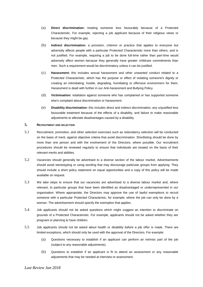- (a) **Direct discrimination:** treating someone less favourably because of a Protected Characteristic. For example, rejecting a job applicant because of their religious views or because they might be gay.
- (b) **Indirect discrimination:** a provision, criterion or practice that applies to everyone but adversely affects people with a particular Protected Characteristic more than others, and is not justified. For example, requiring a job to be done full-time rather than part-time would adversely affect women because they generally have greater childcare commitments than men. Such a requirement would be discriminatory unless it can be justified.
- (c) **Harassment:** this includes sexual harassment and other unwanted conduct related to a Protected Characteristic, which has the purpose or effect of violating someone's dignity or creating an intimidating, hostile, degrading, humiliating or offensive environment for them. Harassment is dealt with further in our Anti-harassment and Bullying Policy.
- (d) **Victimisation:** retaliation against someone who has complained or has supported someone else's complaint about discrimination or harassment.
- (e) **Disability discrimination:** this includes direct and indirect discrimination, any unjustified less favourable treatment because of the effects of a disability, and failure to make reasonable adjustments to alleviate disadvantages caused by a disability.

# **5. RECRUITMENT AND SELECTION**

- 5.1 Recruitment, promotion, and other selection exercises such as redundancy selection will be conducted on the basis of merit, against objective criteria that avoid discrimination. Shortlisting should be done by more than one person and with the involvement of the Directors, where possible. Our recruitment procedures should be reviewed regularly to ensure that individuals are treated on the basis of their relevant merits and abilities.
- 5.2 Vacancies should generally be advertised to a diverse section of the labour market. Advertisements should avoid stereotyping or using wording that may discourage particular groups from applying. They should include a short policy statement on equal opportunities and a copy of this policy will be made available on request.
- 5.3 We take steps to ensure that our vacancies are advertised to a diverse labour market and, where relevant, to particular groups that have been identified as disadvantaged or underrepresented in our organisation. Where appropriate, the Directors may approve the use of lawful exemptions to recruit someone with a particular Protected Characterisic, for example, where the job can only be done by a woman. The advertisement should specify the exemption that applies.
- 5.4 Job applicants should not be asked questions which might suggest an intention to discriminate on grounds of a Protected Characteristic. For example, applicants should not be asked whether they are pregnant or planning to have children.
- 5.5 Job applicants should not be asked about health or disability before a job offer is made. There are limited exceptions, which should only be used with the approval of the Directors. For example:
	- (a) Questions necessary to establish if an applicant can perform an intrinsic part of the job (subject to any reasonable adjustments).
	- (b) Questions to establish if an applicant is fit to attend an assessment or any reasonable adjustments that may be needed at interview or assessment.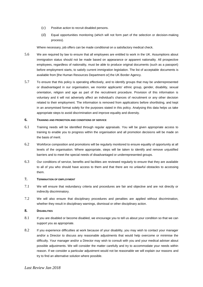- (c) Positive action to recruit disabled persons.
- (d) Equal opportunities monitoring (which will not form part of the selection or decision-making process).

Where necessary, job offers can be made conditional on a satisfactory medical check.

- 5.6 We are required by law to ensure that all employees are entitled to work in the UK. Assumptions about immigration status should not be made based on appearance or apparent nationality. All prospective employees, regardless of nationality, must be able to produce original documents (such as a passport) before employment starts, to satisfy current immigration legislation. The list of acceptable documents is available from [the Human Resources Department or] the UK Border Agency.
- 5.7 To ensure that this policy is operating effectively, and to identify groups that may be underrepresented or disadvantaged in our organisation, we monitor applicants' ethnic group, gender, disability, sexual orientation, religion and age as part of the recruitment procedure. Provision of this information is voluntary and it will not adversely affect an individual's chances of recruitment or any other decision related to their employment. The information is removed from applications before shortlisting, and kept in an anonymised format solely for the purposes stated in this policy. Analysing this data helps us take appropriate steps to avoid discrimination and improve equality and diversity.

### **6. TRAINING AND PROMOTION AND CONDITIONS OF SERVICE**

- 6.1 Training needs will be identified through regular appraisals. You will be given appropriate access to training to enable you to progress within the organisation and all promotion decisions will be made on the basis of merit.
- 6.2 Workforce composition and promotions will be regularly monitored to ensure equality of opportunity at all levels of the organisation. Where appropriate, steps will be taken to identify and remove unjustified barriers and to meet the special needs of disadvantaged or underrepresented groups.
- 6.3 Our conditions of service, benefits and facilities are reviewed regularly to ensure that they are available to all of you who should have access to them and that there are no unlawful obstacles to accessing them.

### **7. TERMINATION OF EMPLOYMENT**

- 7.1 We will ensure that redundancy criteria and procedures are fair and objective and are not directly or indirectly discriminatory.
- 7.2 We will also ensure that disciplinary procedures and penalties are applied without discrimination, whether they result in disciplinary warnings, dismissal or other disciplinary action.

# **8. DISABILITIES**

- 8.1 If you are disabled or become disabled, we encourage you to tell us about your condition so that we can support you as appropriate.
- 8.2 If you experience difficulties at work because of your disability, you may wish to contact your manager and/or a Director to discuss any reasonable adjustments that would help overcome or minimise the difficulty. Your manager and/or a Director may wish to consult with you and your medical adviser about possible adjustments. We will consider the matter carefully and try to accommodate your needs within reason. If we consider a particular adjustment would not be reasonable we will explain our reasons and try to find an alternative solution where possible.